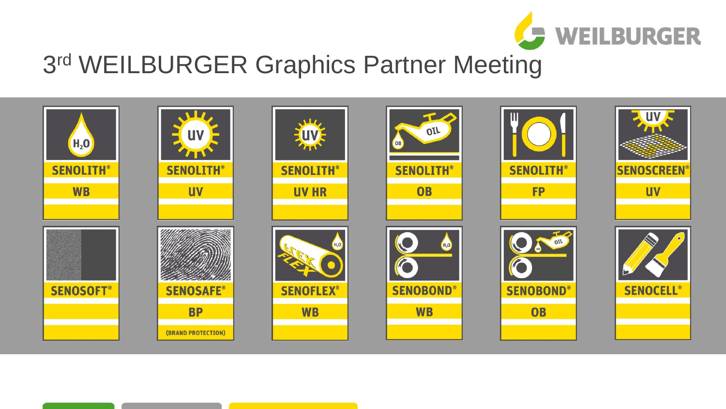

#### 3rd WEILBURGER Graphics Partner Meeting

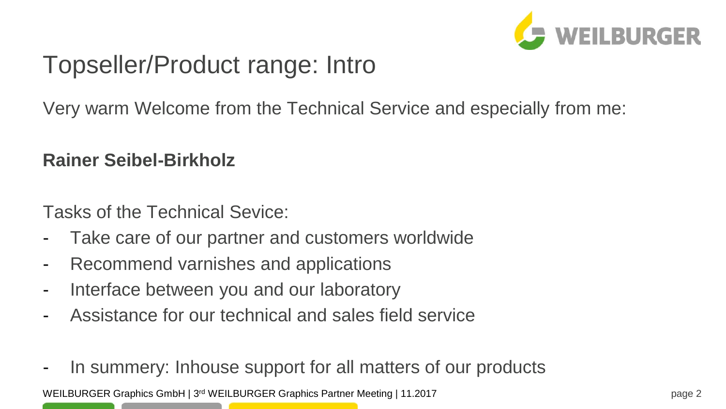

## Topseller/Product range: Intro

Very warm Welcome from the Technical Service and especially from me:

#### **Rainer Seibel-Birkholz**

Tasks of the Technical Sevice:

- Take care of our partner and customers worldwide
- Recommend varnishes and applications
- Interface between you and our laboratory
- Assistance for our technical and sales field service
- In summery: Inhouse support for all matters of our products

WEILBURGER Graphics GmbH | 3<sup>rd</sup> WEILBURGER Graphics Partner Meeting | 11.2017 page 2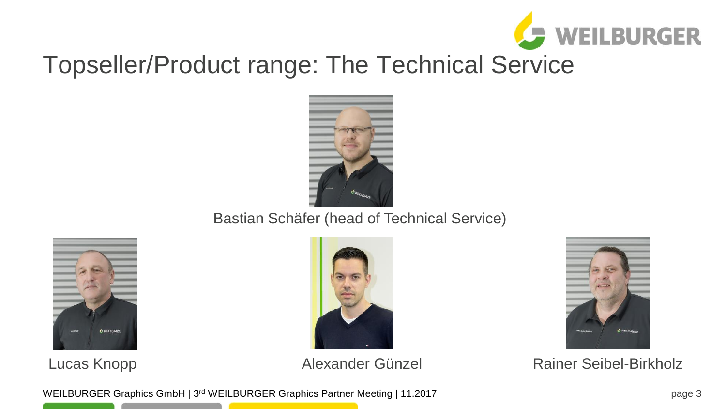

# Topseller/Product range: The Technical Service



#### Bastian Schäfer (head of Technical Service)







Lucas Knopp **Alexander Günzel** Rainer Seibel-Birkholz

WEILBURGER Graphics GmbH | 3<sup>rd</sup> WEILBURGER Graphics Partner Meeting | 11.2017 page 3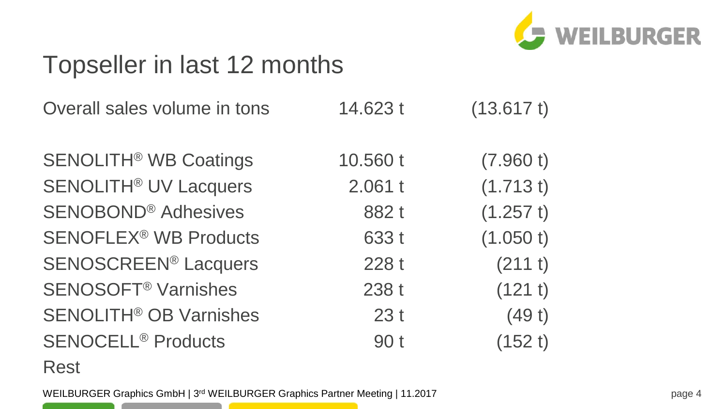

## Topseller in last 12 months

| Overall sales volume in tons             | 14.623 t | (13.617t) |
|------------------------------------------|----------|-----------|
| <b>SENOLITH<sup>®</sup> WB Coatings</b>  | 10.560 t | (7.960 t) |
| <b>SENOLITH<sup>®</sup> UV Lacquers</b>  | 2.061 t  | (1.713 t) |
| <b>SENOBOND® Adhesives</b>               | 882t     | (1.257 t) |
| <b>SENOFLEX<sup>®</sup> WB Products</b>  | 633 t    | (1.050 t) |
| <b>SENOSCREEN® Lacquers</b>              | 228 t    | (211 t)   |
| <b>SENOSOFT<sup>®</sup> Varnishes</b>    | 238 t    | (121 t)   |
| <b>SENOLITH<sup>®</sup> OB Varnishes</b> | 23t      | (49t)     |
| <b>SENOCELL<sup>®</sup> Products</b>     | 90 t     | (152 t)   |
|                                          |          |           |

#### Rest

WEILBURGER Graphics GmbH | 3<sup>rd</sup> WEILBURGER Graphics Partner Meeting | 11.2017 page 4 the contract of the contract of the

the contract of the contract of the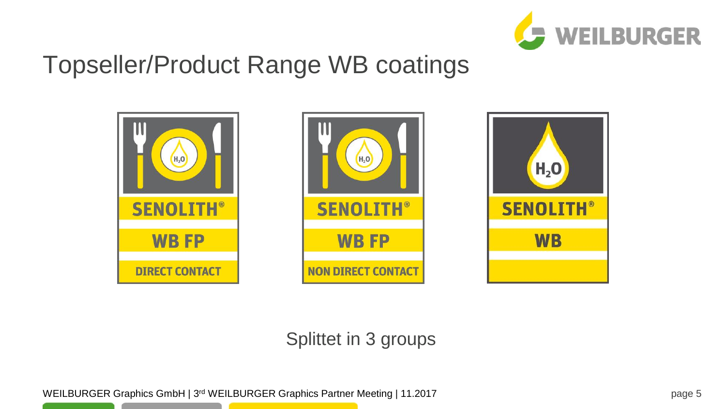

## Topseller/Product Range WB coatings







#### Splittet in 3 groups

WEILBURGER Graphics GmbH | 3<sup>rd</sup> WEILBURGER Graphics Partner Meeting | 11.2017 page 5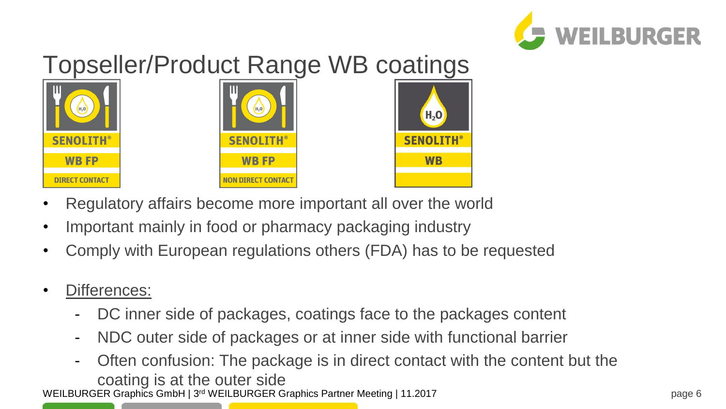

# Topseller/Product Range WB coatings







- Regulatory affairs become more important all over the world
- Important mainly in food or pharmacy packaging industry
- Comply with European regulations others (FDA) has to be requested
- Differences:
	- DC inner side of packages, coatings face to the packages content
	- NDC outer side of packages or at inner side with functional barrier
- WEILBURGER Graphics GmbH | 3<sup>rd</sup> WEILBURGER Graphics Partner Meeting | 11.2017 page 6 Often confusion: The package is in direct contact with the content but the coating is at the outer side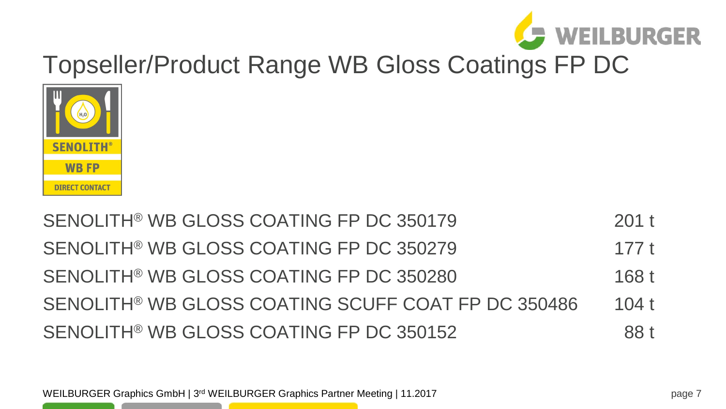#### WEILBURGER Graphics GmbH | 3<sup>rd</sup> WEILBURGER Graphics Partner Meeting | 11.2017 page 7

SENOLITH® WB GLOSS COATING FP DC 350179 201 t SENOLITH® WB GLOSS COATING FP DC 350279 177 t SENOLITH® WB GLOSS COATING FP DC 350280 SENOLITH<sup>®</sup> WB GLOSS COATING SCUFF COAT FP DC 350486 104 t SENOLITH® WB GLOSS COATING FP DC 350152



# Topseller/Product Range WB Gloss Coatings FP DC

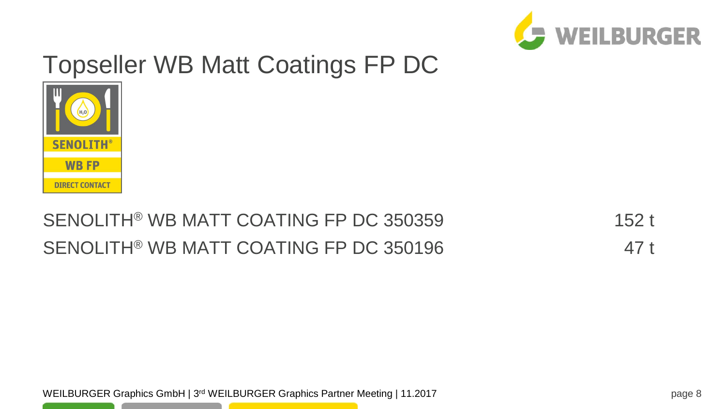

## Topseller WB Matt Coatings FP DC



#### SENOLITH® WB MATT COATING FP DC 350359 152 t SENOLITH® WB MATT COATING FP DC 350196 47 t

WEILBURGER Graphics GmbH | 3<sup>rd</sup> WEILBURGER Graphics Partner Meeting | 11.2017 page 8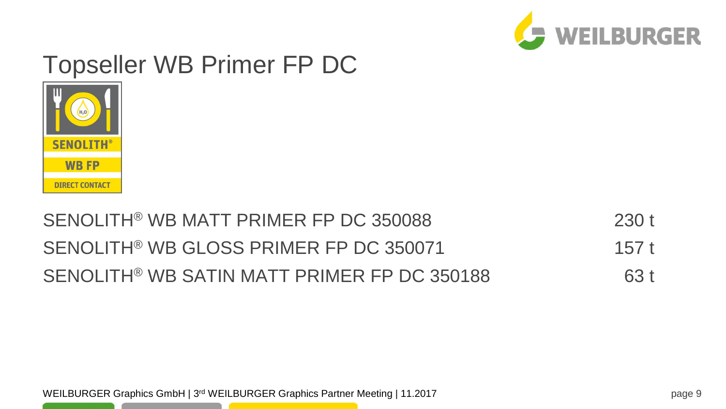

## Topseller WB Primer FP DC



#### SENOLITH® WB MATT PRIMER FP DC 350088 230 t SENOLITH<sup>®</sup> WB GLOSS PRIMER FP DC 350071 157 t SENOLITH® WB SATIN MATT PRIMER FP DC 350188 63 t

WEILBURGER Graphics GmbH | 3<sup>rd</sup> WEILBURGER Graphics Partner Meeting | 11.2017 page 9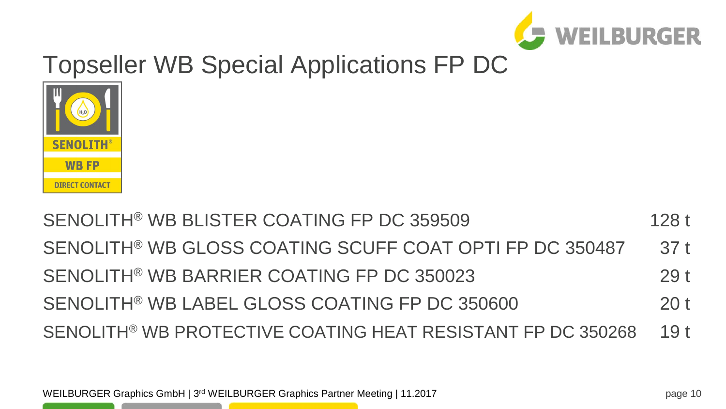SENOLITH® WB BLISTER COATING FP DC 359509 128 t SENOLITH<sup>®</sup> WB GLOSS COATING SCUFF COAT OPTI FP DC 350487 37 t SENOLITH® WB BARRIER COATING FP DC 350023 29 t SENOLITH<sup>®</sup> WB LABEL GLOSS COATING FP DC 350600 20 t SENOLITH® WB PROTECTIVE COATING HEAT RESISTANT FP DC 350268 19 t



# Topseller WB Special Applications FP DC

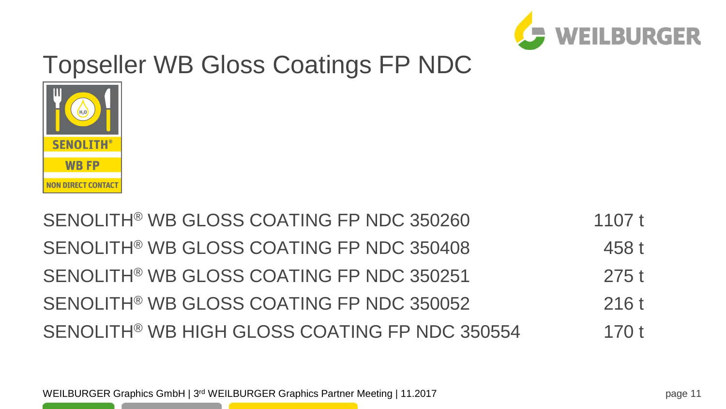

# Topseller WB Gloss Coatings FP NDC



#### SENOLITH® WB GLOSS COATING FP NDC 350260 1107 t SENOLITH® WB GLOSS COATING FP NDC 350408 458 t SENOLITH<sup>®</sup> WB GLOSS COATING FP NDC 350251 275 t SENOLITH<sup>®</sup> WB GLOSS COATING FP NDC 350052 216 t SENOLITH<sup>®</sup> WB HIGH GLOSS COATING FP NDC 350554 170 t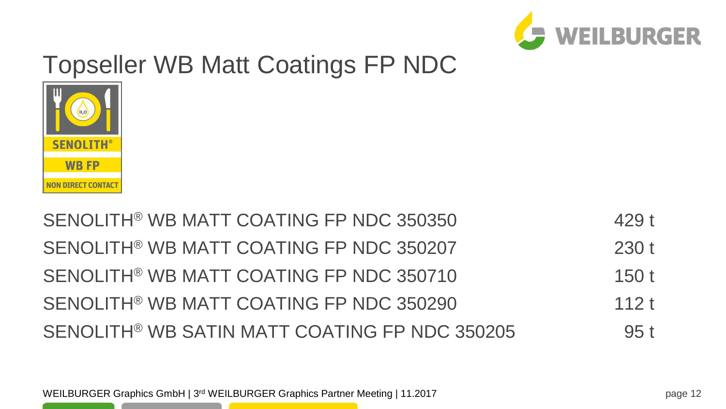

# Topseller WB Matt Coatings FP NDC



#### SENOLITH® WB MATT COATING FP NDC 350350 429 t SENOLITH® WB MATT COATING FP NDC 350207 230 t SENOLITH® WB MATT COATING FP NDC 350710 150 t SENOLITH® WB MATT COATING FP NDC 350290 112 t SENOLITH<sup>®</sup> WB SATIN MATT COATING FP NDC 350205 95 t

WEILBURGER Graphics GmbH | 3<sup>rd</sup> WEILBURGER Graphics Partner Meeting | 11.2017 **For a struck of the USA of the Straphics Partner Meeting | 11.2017 For a straphic straphics Partner Meeting | 11.2017**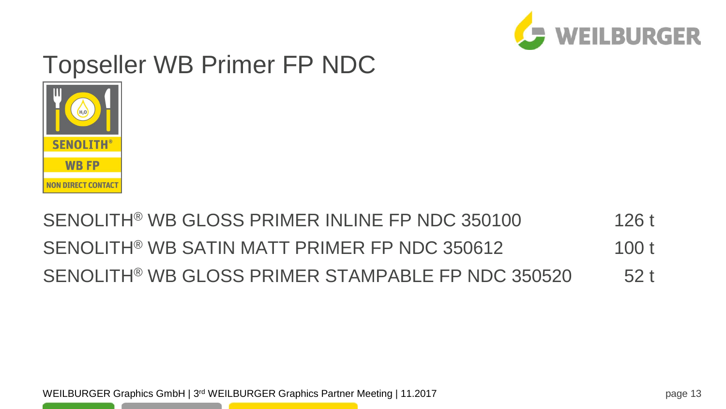

## Topseller WB Primer FP NDC



#### SENOLITH<sup>®</sup> WB GLOSS PRIMER INLINE FP NDC 350100 126 t SENOLITH<sup>®</sup> WB SATIN MATT PRIMER FP NDC 350612 100 t SENOLITH® WB GLOSS PRIMER STAMPABLE FP NDC 350520 52 t

WEILBURGER Graphics GmbH | 3<sup>rd</sup> WEILBURGER Graphics Partner Meeting | 11.2017 **For a strategy of the Straphics Partner Meeting | 11.2017 For a straphic straphics Partner Meeting | 11.2017**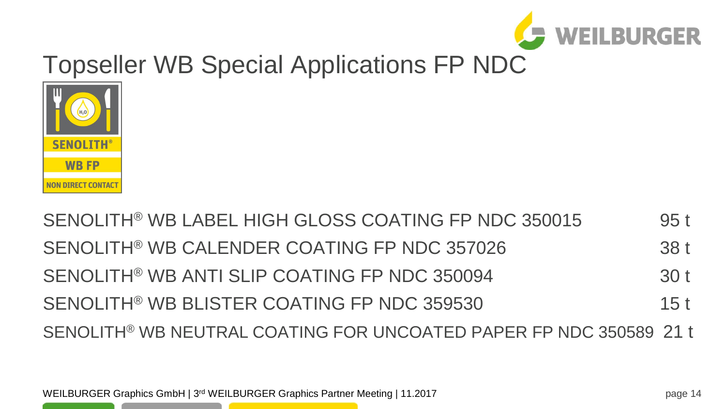

SENOLITH<sup>®</sup> WB LABEL HIGH GLOSS COATING FP NDC 350015 95 t SENOLITH® WB CALENDER COATING FP NDC 357026 38 t SENOLITH® WB ANTI SLIP COATING FP NDC 350094 30 t SENOLITH<sup>®</sup> WB BLISTER COATING FP NDC 359530 15 t SENOLITH® WB NEUTRAL COATING FOR UNCOATED PAPER FP NDC 350589 21 t



# Topseller WB Special Applications FP NDC

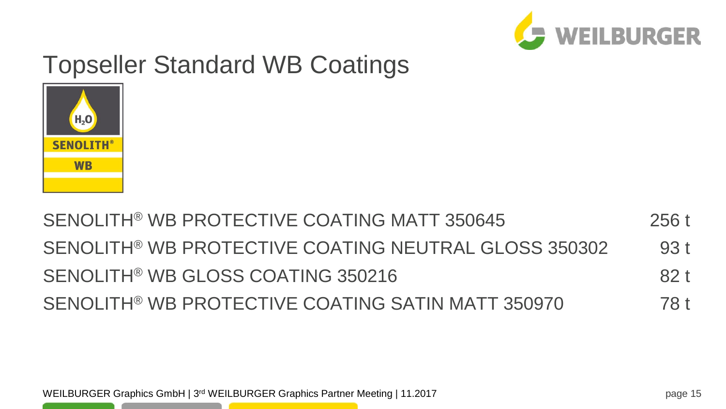

# Topseller Standard WB Coatings

WEILBURGER Graphics GmbH | 3<sup>rd</sup> WEILBURGER Graphics Partner Meeting | 11.2017 **For Case 15** rage 15

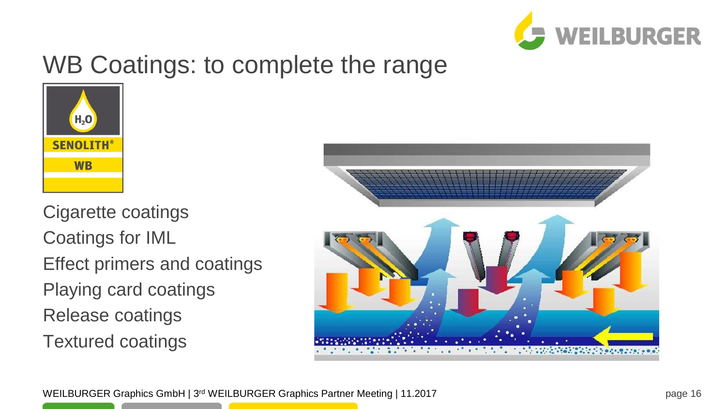

## WB Coatings: to complete the range



Cigarette coatings Coatings for IML Effect primers and coatings Playing card coatings Release coatings Textured coatings

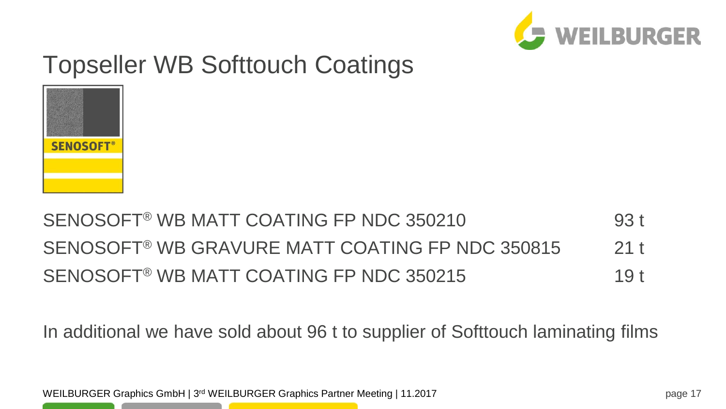

# Topseller WB Softtouch Coatings



#### SENOSOFT® WB MATT COATING FP NDC 350210 93 t SENOSOFT<sup>®</sup> WB GRAVURE MATT COATING FP NDC 350815 21 t SENOSOFT® WB MATT COATING FP NDC 350215 19 t

In additional we have sold about 96 t to supplier of Softtouch laminating films

WEILBURGER Graphics GmbH | 3<sup>rd</sup> WEILBURGER Graphics Partner Meeting | 11.2017 **For a struck and Struck and Struck**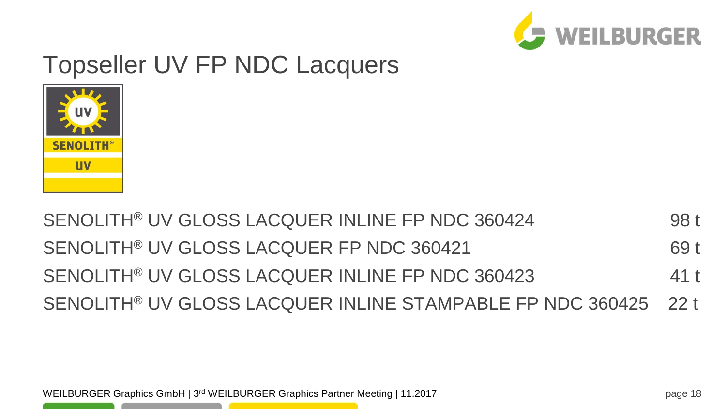

# Topseller UV FP NDC Lacquers



#### SENOLITH® UV GLOSS LACQUER INLINE FP NDC 360424 98 t SENOLITH® UV GLOSS LACQUER FP NDC 360421 69 t SENOLITH® UV GLOSS LACQUER INLINE FP NDC 360423 41 t SENOLITH® UV GLOSS LACQUER INLINE STAMPABLE FP NDC 360425 22 t

WEILBURGER Graphics GmbH | 3<sup>rd</sup> WEILBURGER Graphics Partner Meeting | 11.2017 **For Case 18** range 18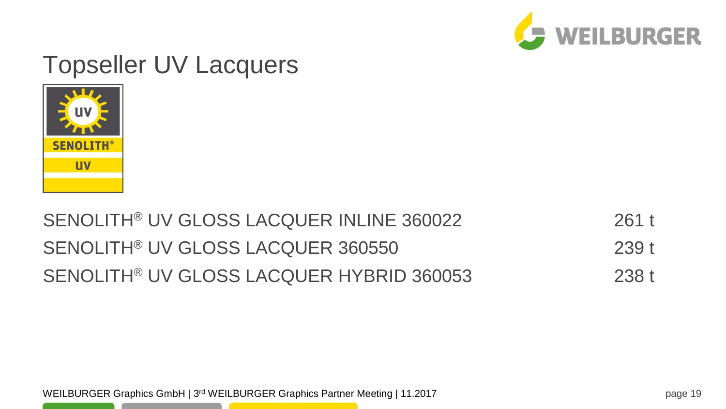

#### Topseller UV Lacquers



#### SENOLITH® UV GLOSS LACQUER INLINE 360022 261 t SENOLITH® UV GLOSS LACQUER 360550 239 t SENOLITH® UV GLOSS LACQUER HYBRID 360053 238 t

WEILBURGER Graphics GmbH | 3<sup>rd</sup> WEILBURGER Graphics Partner Meeting | 11.2017 **For a strategy of the Straphics Partner Meeting | 11.2017 For a straphic straphics Partner Meeting | 11.2017**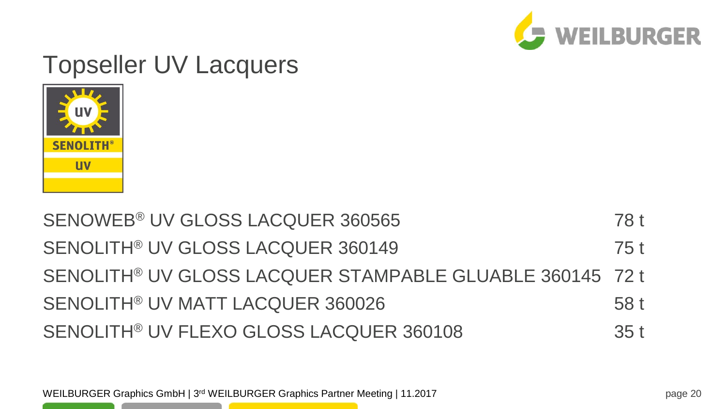### SENOWEB<sup>®</sup> UV GLOSS LACQUER 360565 78 t SENOLITH® UV GLOSS LACQUER 360149 75 t SENOLITH® UV GLOSS LACQUER STAMPABLE GLUABLE 360145 72 t SENOLITH® UV MATT LACQUER 360026 58 t SENOLITH® UV FLEXO GLOSS LACQUER 360108 35 t



# Topseller UV Lacquers

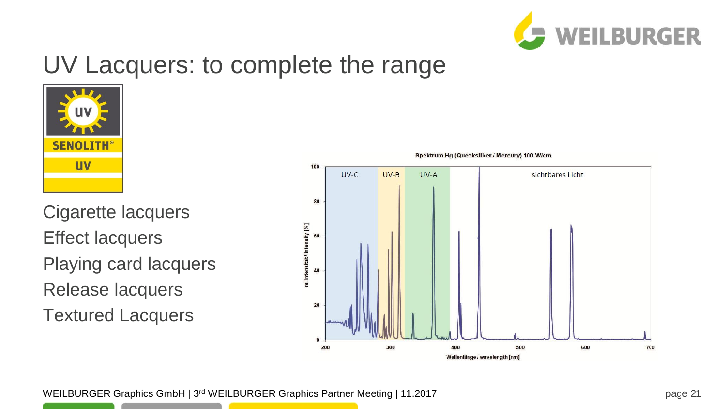

#### UV Lacquers: to complete the range



Cigarette lacquers Effect lacquers Playing card lacquers Release lacquers Textured Lacquers

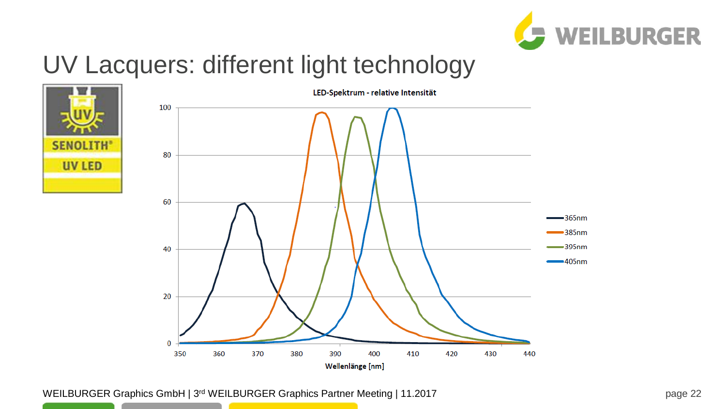

## UV Lacquers: different light technology





WEILBURGER Graphics GmbH | 3<sup>rd</sup> WEILBURGER Graphics Partner Meeting | 11.2017 **For Case 12 and Struth America** Page 22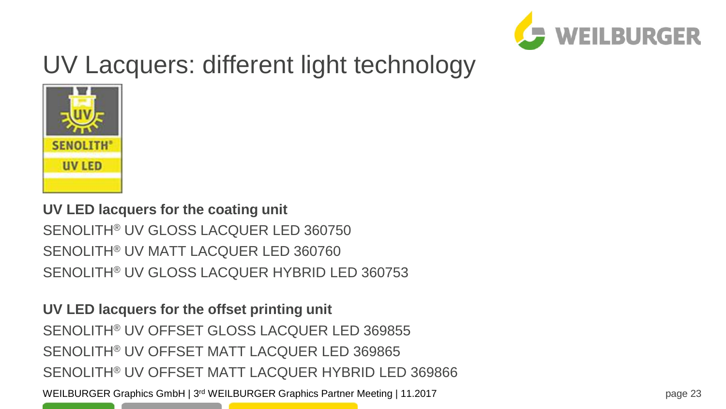

# UV Lacquers: different light technology



#### **UV LED lacquers for the coating unit** SENOLITH® UV GLOSS LACQUER LED 360750 SENOLITH® UV MATT LACQUER LED 360760 SENOLITH® UV GLOSS LACQUER HYBRID LED 360753

**UV LED lacquers for the offset printing unit**  SENOLITH® UV OFFSET GLOSS LACQUER LED 369855 SENOLITH® UV OFFSET MATT LACQUER LED 369865 SENOLITH® UV OFFSET MATT LACQUER HYBRID LED 369866

WEILBURGER Graphics GmbH | 3<sup>rd</sup> WEILBURGER Graphics Partner Meeting | 11.2017 **For Case 123** range 23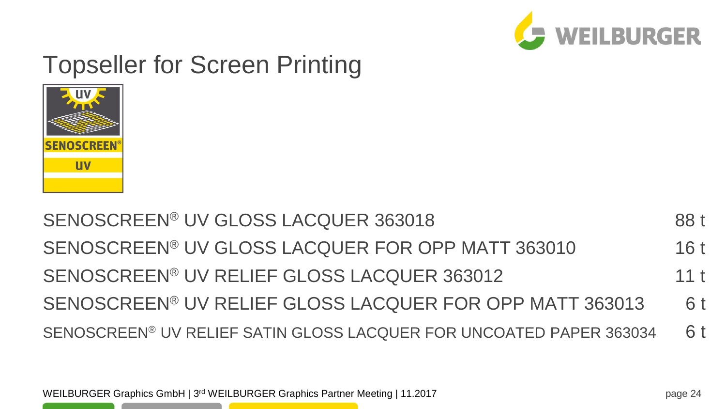SENOSCREEN® UV GLOSS LACQUER 363018 88 t SENOSCREEN® UV GLOSS LACQUER FOR OPP MATT 363010 16 t SENOSCREEN® UV RELIEF GLOSS LACQUER 363012 11 t SENOSCREEN® UV RELIEF GLOSS LACQUER FOR OPP MATT 363013 6 t SENOSCREEN® UV RELIEF SATIN GLOSS LACQUER FOR UNCOATED PAPER 363034 6 t



# Topseller for Screen Printing

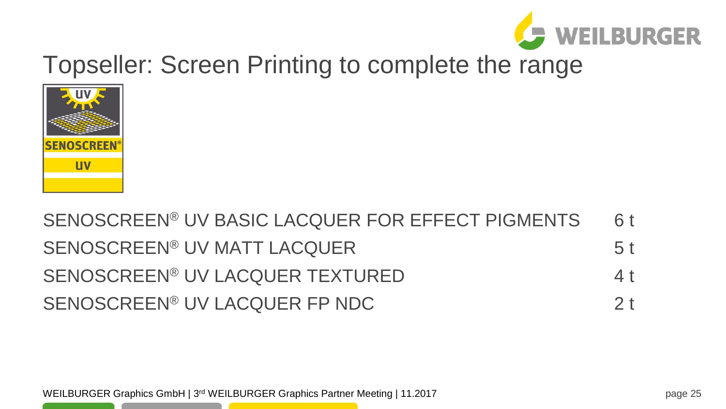

# Topseller: Screen Printing to complete the range



#### SENOSCREEN® UV BASIC LACQUER FOR EFFECT PIGMENTS 6 t SENOSCREEN® UV MATT LACQUER 5 t SENOSCREEN® UV LACQUER TEXTURED 4 t SENOSCREEN® UV LACQUER FP NDC 2 t

WEILBURGER Graphics GmbH | 3<sup>rd</sup> WEILBURGER Graphics Partner Meeting | 11.2017 **For Case 25** range 25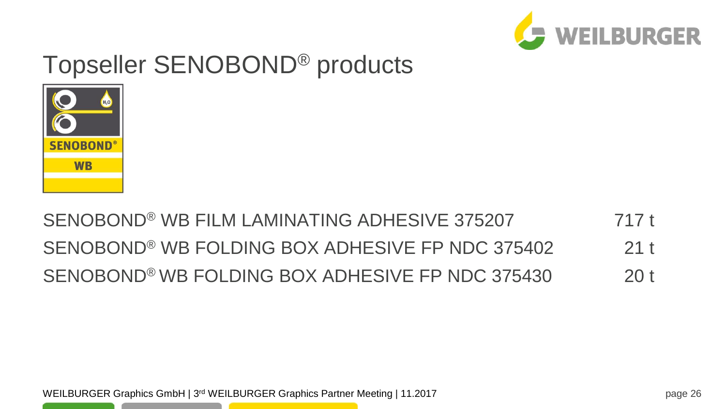

# Topseller SENOBOND® products



#### SENOBOND® WB FILM LAMINATING ADHESIVE 375207 717 t SENOBOND® WB FOLDING BOX ADHESIVE FP NDC 375402 21 t SENOBOND® WB FOLDING BOX ADHESIVE FP NDC 375430 20 t

WEILBURGER Graphics GmbH | 3<sup>rd</sup> WEILBURGER Graphics Partner Meeting | 11.2017 **For Case 26** range 26 research Meeting | 11.2017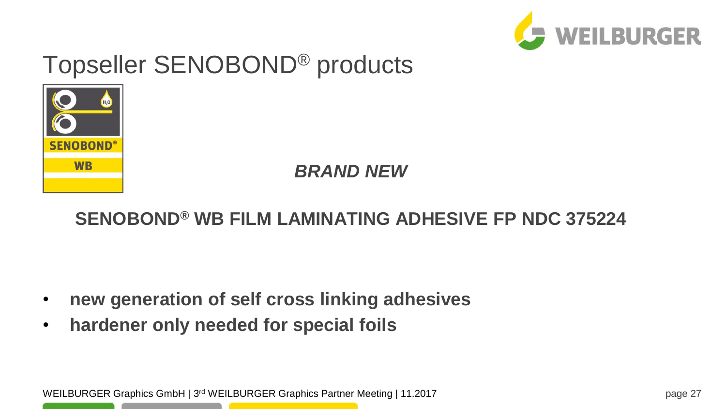

# Topseller SENOBOND® products



*BRAND NEW*

#### **SENOBOND® WB FILM LAMINATING ADHESIVE FP NDC 375224**

- **new generation of self cross linking adhesives**
- **hardener only needed for special foils**

WEILBURGER Graphics GmbH | 3<sup>rd</sup> WEILBURGER Graphics Partner Meeting | 11.2017 **For a strategy and Straphics Partner Meeting | 11.2017 For a straphic straphics Partner Meeting | 11.2017**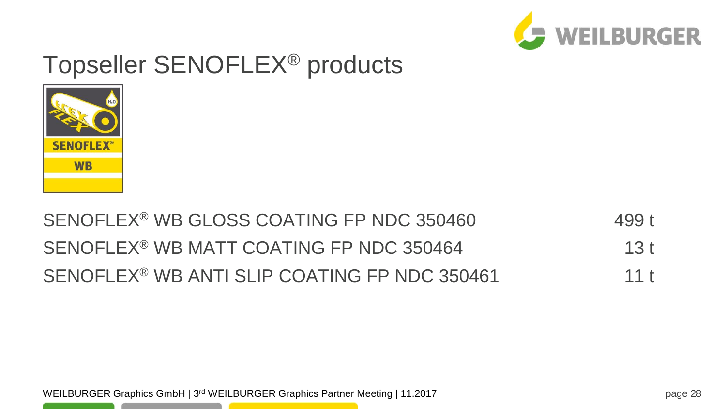



#### SENOFLEX<sup>®</sup> WB GLOSS COATING FP NDC 350460 499 t SENOFLEX<sup>®</sup> WB MATT COATING FP NDC 350464 13 t SENOFLEX<sup>®</sup> WB ANTI SLIP COATING FP NDC 350461 11 t

WEILBURGER Graphics GmbH | 3<sup>rd</sup> WEILBURGER Graphics Partner Meeting | 11.2017 **For Case 28** range 28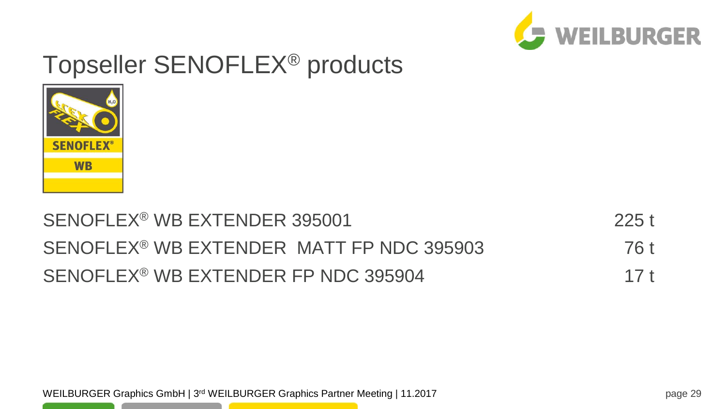



#### SENOFLEX<sup>®</sup> WB EXTENDER 395001 225 t SENOFLEX<sup>®</sup> WB EXTENDER MATT FP NDC 395903 76 t SENOFLEX<sup>®</sup> WB EXTENDER FP NDC 395904 17 t

WEILBURGER Graphics GmbH | 3<sup>rd</sup> WEILBURGER Graphics Partner Meeting | 11.2017 **For Case 29** rage 29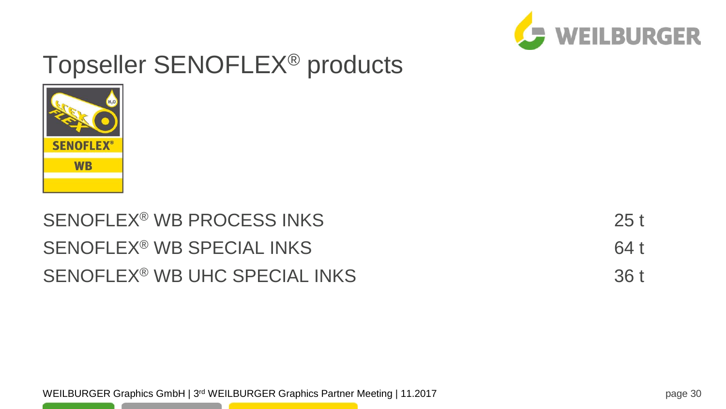



| SENOFLEX <sup>®</sup> WB PROCESS INKS     | 25t  |
|-------------------------------------------|------|
| SENOFLEX <sup>®</sup> WB SPECIAL INKS     | 64 t |
| SENOFLEX <sup>®</sup> WB UHC SPECIAL INKS | 36t  |

WEILBURGER Graphics GmbH | 3<sup>rd</sup> WEILBURGER Graphics Partner Meeting | 11.2017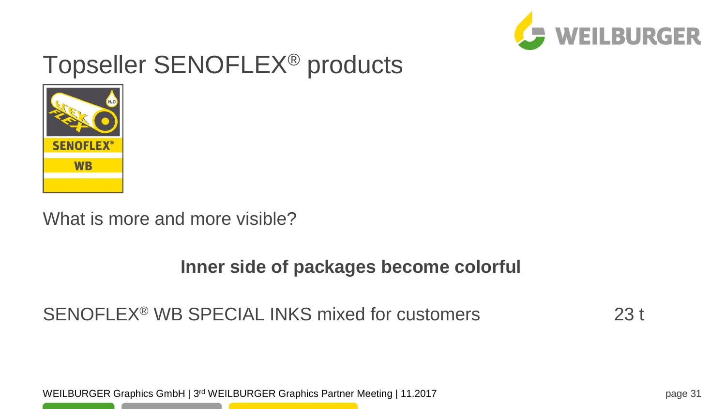



#### What is more and more visible?

#### **Inner side of packages become colorful**

#### SENOFLEX<sup>®</sup> WB SPECIAL INKS mixed for customers 23 t

WEILBURGER Graphics GmbH | 3<sup>rd</sup> WEILBURGER Graphics Partner Meeting | 11.2017 **For Case 11** range 31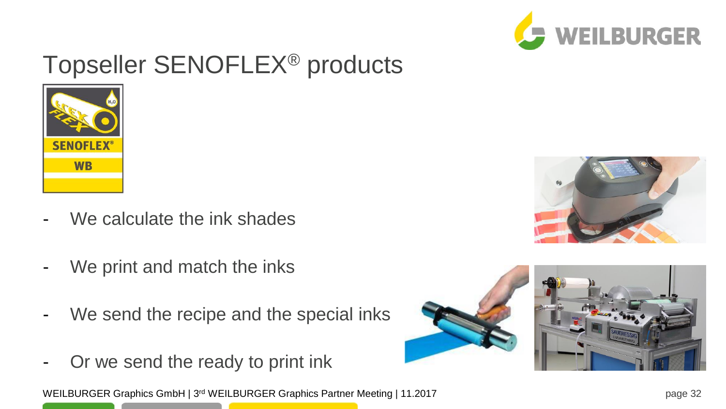



- We calculate the ink shades
- We print and match the inks
- We send the recipe and the special inks
- Or we send the ready to print ink

WEILBURGER Graphics GmbH | 3<sup>rd</sup> WEILBURGER Graphics Partner Meeting | 11.2017 **For a strategy of the Straphics Partner Meeting | 11.2017 For a straphic straphics Partner Meeting | 11.2017** 



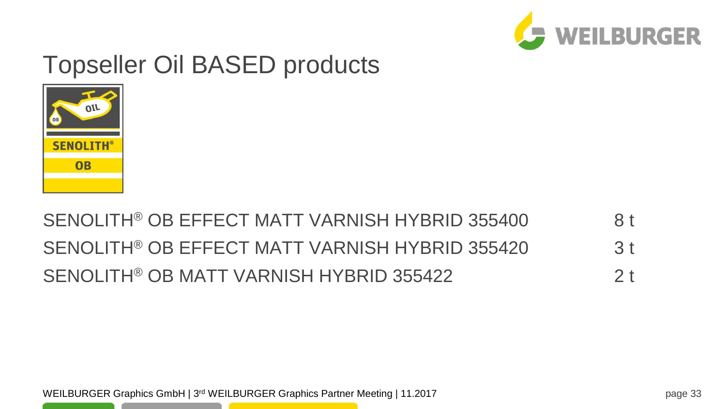

## Topseller Oil BASED products



#### SENOLITH® OB EFFECT MATT VARNISH HYBRID 355400 8 t SENOLITH® OB EFFECT MATT VARNISH HYBRID 355420 3 t SENOLITH® OB MATT VARNISH HYBRID 355422 2 t

WEILBURGER Graphics GmbH | 3<sup>rd</sup> WEILBURGER Graphics Partner Meeting | 11.2017 **For Case 12.000 Face 20.000 For Case 12.000 For Case 33**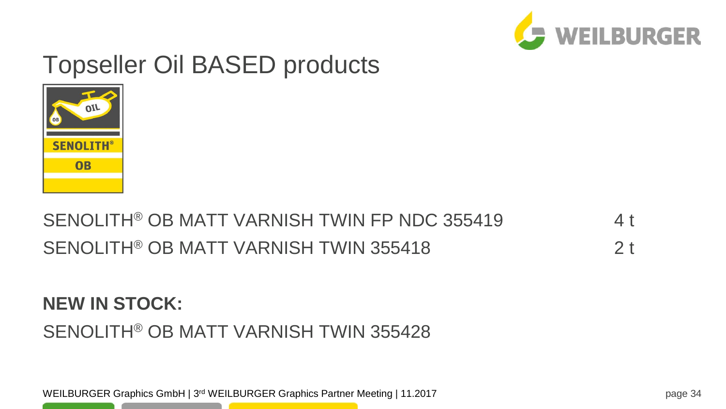

# Topseller Oil BASED products



#### SENOLITH® OB MATT VARNISH TWIN FP NDC 355419 4 t SENOLITH® OB MATT VARNISH TWIN 355418 2 t

#### **NEW IN STOCK:** SENOLITH® OB MATT VARNISH TWIN 355428

WEILBURGER Graphics GmbH | 3<sup>rd</sup> WEILBURGER Graphics Partner Meeting | 11.2017 **For Case 12.017** Page 34